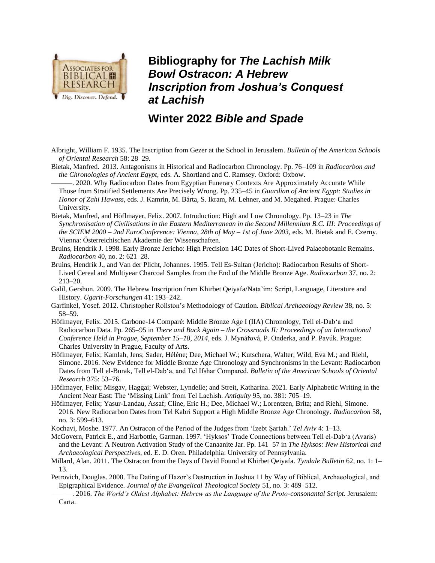

**Bibliography for** *The Lachish Milk Bowl Ostracon: A Hebrew Inscription from Joshua's Conquest at Lachish*

## **Winter 2022** *Bible and Spade*

- Albright, William F. 1935. The Inscription from Gezer at the School in Jerusalem. *Bulletin of the American Schools of Oriental Research* 58: 28–29.
- Bietak, Manfred. 2013. Antagonisms in Historical and Radiocarbon Chronology. Pp. 76–109 in *Radiocarbon and the Chronologies of Ancient Egypt*, eds. A. Shortland and C. Ramsey. Oxford: Oxbow.

———. 2020. Why Radiocarbon Dates from Egyptian Funerary Contexts Are Approximately Accurate While Those from Stratified Settlements Are Precisely Wrong. Pp. 235–45 in *Guardian of Ancient Egypt: Studies in Honor of Zahi Hawass*, eds. J. Kamrin, M. Bárta, S. Ikram, M. Lehner, and M. Megahed. Prague: Charles University.

- Bietak, Manfred, and Höflmayer, Felix. 2007. Introduction: High and Low Chronology. Pp. 13–23 in *The Synchronisation of Civilisations in the Eastern Mediterranean in the Second Millennium B.C. III: Proceedings of the SCIEM 2000 – 2nd EuroConference: Vienna, 28th of May – 1st of June 2003*, eds. M. Bietak and E. Czerny. Vienna: Ӧsterreichischen Akademie der Wissenschaften.
- Bruins, Hendrik J. 1998. Early Bronze Jericho: High Precision 14C Dates of Short-Lived Palaeobotanic Remains. *Radiocarbon* 40, no. 2: 621–28.
- Bruins, Hendrik J., and Van der Plicht, Johannes. 1995. Tell Es-Sultan (Jericho): Radiocarbon Results of Short-Lived Cereal and Multiyear Charcoal Samples from the End of the Middle Bronze Age. *Radiocarbon* 37, no. 2: 213–20.
- Galil, Gershon. 2009. The Hebrew Inscription from Khirbet Qeiyafa/Naṭa'im: Script, Language, Literature and History. *Ugarit-Forschungen* 41: 193–242.
- Garfinkel, Yosef. 2012. Christopher Rollston's Methodology of Caution. *Biblical Archaeology Review* 38, no. 5: 58–59.
- Höflmayer, Felix. 2015. Carbone-14 Comparé: Middle Bronze Age I (IIA) Chronology, Tell el-Dab'a and Radiocarbon Data. Pp. 265–95 in *There and Back Again – the Crossroads II: Proceedings of an International Conference Held in Prague, September 15–18, 2014*, eds. J. Mynářová, P. Onderka, and P. Pavúk. Prague: Charles University in Prague, Faculty of Arts.
- Höflmayer, Felix; Kamlah, Jens; Sader, Héléne; Dee, Michael W.; Kutschera, Walter; Wild, Eva M.; and Riehl, Simone. 2016. New Evidence for Middle Bronze Age Chronology and Synchronisms in the Levant: Radiocarbon Dates from Tell el-Burak, Tell el-Dab'a, and Tel Ifshar Compared. *Bulletin of the American Schools of Oriental Research* 375: 53–76.
- Höflmayer, Felix; Misgav, Haggai; Webster, Lyndelle; and Streit, Katharina. 2021. Early Alphabetic Writing in the Ancient Near East: The 'Missing Link' from Tel Lachish. *Antiquity* 95, no. 381: 705–19.
- Höflmayer, Felix; Yasur-Landau, Assaf; Cline, Eric H.; Dee, Michael W.; Lorentzen, Brita; and Riehl, Simone. 2016. New Radiocarbon Dates from Tel Kabri Support a High Middle Bronze Age Chronology. *Radiocarbon* 58, no. 3: 599–613.
- Kochavi, Moshe. 1977. An Ostracon of the Period of the Judges from 'Izebt Ṣartah.' *Tel Aviv* 4: 1–13.
- McGovern, Patrick E., and Harbottle, Garman. 1997. 'Hyksos' Trade Connections between Tell el-Dab'a (Avaris) and the Levant: A Neutron Activation Study of the Canaanite Jar. Pp. 141–57 in *The Hyksos: New Historical and Archaeological Perspectives*, ed. E. D. Oren. Philadelphia: University of Pennsylvania.
- Millard, Alan. 2011. The Ostracon from the Days of David Found at Khirbet Qeiyafa. *Tyndale Bulletin* 62, no. 1: 1– 13.
- Petrovich, Douglas. 2008. The Dating of Hazor's Destruction in Joshua 11 by Way of Biblical, Archaeological, and Epigraphical Evidence. *Journal of the Evangelical Theological Society* 51, no. 3: 489–512.
- ———. 2016. *The World's Oldest Alphabet: Hebrew as the Language of the Proto-consonantal Script.* Jerusalem: Carta.